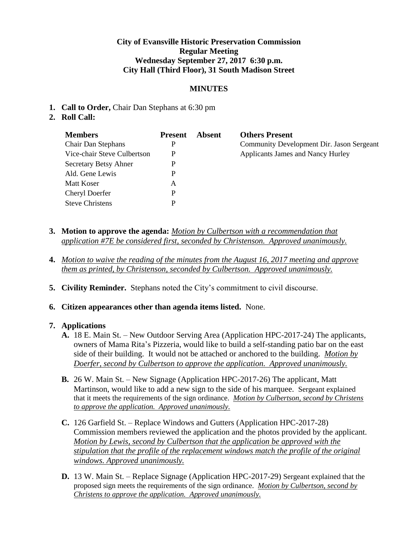#### **City of Evansville Historic Preservation Commission Regular Meeting Wednesday September 27, 2017 6:30 p.m. City Hall (Third Floor), 31 South Madison Street**

#### **MINUTES**

- **1. Call to Order,** Chair Dan Stephans at 6:30 pm
- **2. Roll Call:**

| <b>Members</b>              | <b>Present</b> | Absent | <b>Others Present</b>                     |
|-----------------------------|----------------|--------|-------------------------------------------|
| <b>Chair Dan Stephans</b>   | P              |        | Community Development Dir. Jason Sergeant |
| Vice-chair Steve Culbertson | P              |        | Applicants James and Nancy Hurley         |
| Secretary Betsy Ahner       | P              |        |                                           |
| Ald. Gene Lewis             | P              |        |                                           |
| Matt Koser                  | Α              |        |                                           |
| Cheryl Doerfer              | P              |        |                                           |
| <b>Steve Christens</b>      | D              |        |                                           |

- **3. Motion to approve the agenda:** *Motion by Culbertson with a recommendation that application #7E be considered first, seconded by Christenson. Approved unanimously.*
- **4.** *Motion to waive the reading of the minutes from the August 16, 2017 meeting and approve them as printed, by Christenson, seconded by Culbertson. Approved unanimously.*
- **5. Civility Reminder.** Stephans noted the City's commitment to civil discourse.
- **6. Citizen appearances other than agenda items listed.** None.

#### **7. Applications**

- **A.** 18 E. Main St. New Outdoor Serving Area (Application HPC-2017-24) The applicants, owners of Mama Rita's Pizzeria, would like to build a self-standing patio bar on the east side of their building. It would not be attached or anchored to the building. *Motion by Doerfer, second by Culbertson to approve the application. Approved unanimously.*
- **B.** 26 W. Main St. New Signage (Application HPC-2017-26) The applicant, Matt Martinson, would like to add a new sign to the side of his marquee. Sergeant explained that it meets the requirements of the sign ordinance. *Motion by Culbertson, second by Christens to approve the application. Approved unanimously.*
- **C.** 126 Garfield St. Replace Windows and Gutters (Application HPC-2017-28) Commission members reviewed the application and the photos provided by the applicant. *Motion by Lewis, second by Culbertson that the application be approved with the stipulation that the profile of the replacement windows match the profile of the original windows. Approved unanimously.*
- **D.** 13 W. Main St. Replace Signage (Application HPC-2017-29) Sergeant explained that the proposed sign meets the requirements of the sign ordinance. *Motion by Culbertson, second by Christens to approve the application. Approved unanimously.*